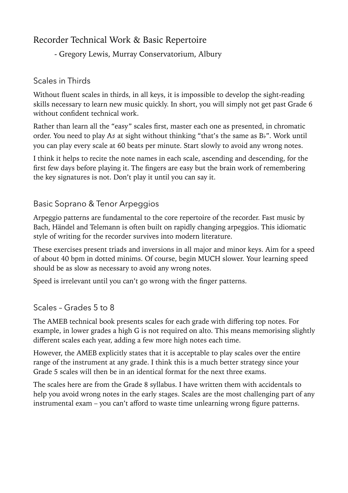# Recorder Technical Work & Basic Repertoire

- Gregory Lewis, Murray Conservatorium, Albury

### Scales in Thirds

Without fluent scales in thirds, in all keys, it is impossible to develop the sight-reading skills necessary to learn new music quickly. In short, you will simply not get past Grade 6 without confident technical work.

Rather than learn all the "easy" scales first, master each one as presented, in chromatic order. You need to play A♯ at sight without thinking "that's the same as B♭". Work until you can play every scale at 60 beats per minute. Start slowly to avoid any wrong notes.

I think it helps to recite the note names in each scale, ascending and descending, for the first few days before playing it. The fingers are easy but the brain work of remembering the key signatures is not. Don't play it until you can say it.

## Basic Soprano & Tenor Arpeggios

Arpeggio patterns are fundamental to the core repertoire of the recorder. Fast music by Bach, Händel and Telemann is often built on rapidly changing arpeggios. This idiomatic style of writing for the recorder survives into modern literature.

These exercises present triads and inversions in all major and minor keys. Aim for a speed of about 40 bpm in dotted minims. Of course, begin MUCH slower. Your learning speed should be as slow as necessary to avoid any wrong notes.

Speed is irrelevant until you can't go wrong with the finger patterns.

### Scales – Grades 5 to 8

The AMEB technical book presents scales for each grade with differing top notes. For example, in lower grades a high G is not required on alto. This means memorising slightly different scales each year, adding a few more high notes each time.

However, the AMEB explicitly states that it is acceptable to play scales over the entire range of the instrument at any grade. I think this is a much better strategy since your Grade 5 scales will then be in an identical format for the next three exams.

The scales here are from the Grade 8 syllabus. I have written them with accidentals to help you avoid wrong notes in the early stages. Scales are the most challenging part of any instrumental exam – you can't afford to waste time unlearning wrong figure patterns.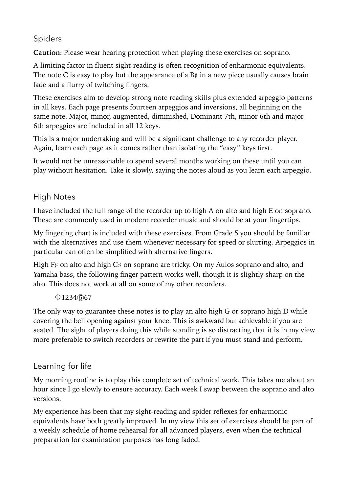## Spiders

**Caution**: Please wear hearing protection when playing these exercises on soprano.

A limiting factor in fluent sight-reading is often recognition of enharmonic equivalents. The note C is easy to play but the appearance of a  $B\sharp$  in a new piece usually causes brain fade and a flurry of twitching fingers.

These exercises aim to develop strong note reading skills plus extended arpeggio patterns in all keys. Each page presents fourteen arpeggios and inversions, all beginning on the same note. Major, minor, augmented, diminished, Dominant 7th, minor 6th and major 6th arpeggios are included in all 12 keys.

This is a major undertaking and will be a significant challenge to any recorder player. Again, learn each page as it comes rather than isolating the "easy" keys first.

It would not be unreasonable to spend several months working on these until you can play without hesitation. Take it slowly, saying the notes aloud as you learn each arpeggio.

# High Notes

I have included the full range of the recorder up to high A on alto and high E on soprano. These are commonly used in modern recorder music and should be at your fingertips.

My fingering chart is included with these exercises. From Grade 5 you should be familiar with the alternatives and use them whenever necessary for speed or slurring. Arpeggios in particular can often be simplified with alternative fingers.

High F♯ on alto and high C♯ on soprano are tricky. On my Aulos soprano and alto, and Yamaha bass, the following finger pattern works well, though it is slightly sharp on the alto. This does not work at all on some of my other recorders.

### $01234(5)67$

The only way to guarantee these notes is to play an alto high G or soprano high D while covering the bell opening against your knee. This is awkward but achievable if you are seated. The sight of players doing this while standing is so distracting that it is in my view more preferable to switch recorders or rewrite the part if you must stand and perform.

## Learning for life

My morning routine is to play this complete set of technical work. This takes me about an hour since I go slowly to ensure accuracy. Each week I swap between the soprano and alto versions.

My experience has been that my sight-reading and spider reflexes for enharmonic equivalents have both greatly improved. In my view this set of exercises should be part of a weekly schedule of home rehearsal for all advanced players, even when the technical preparation for examination purposes has long faded.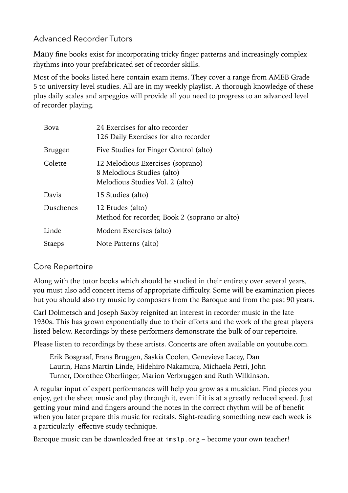# Advanced Recorder Tutors

Many fine books exist for incorporating tricky finger patterns and increasingly complex rhythms into your prefabricated set of recorder skills.

Most of the books listed here contain exam items. They cover a range from AMEB Grade 5 to university level studies. All are in my weekly playlist. A thorough knowledge of these plus daily scales and arpeggios will provide all you need to progress to an advanced level of recorder playing.

| Bova           | 24 Exercises for alto recorder<br>126 Daily Exercises for alto recorder                           |  |
|----------------|---------------------------------------------------------------------------------------------------|--|
| <b>Bruggen</b> | Five Studies for Finger Control (alto)                                                            |  |
| Colette        | 12 Melodious Exercises (soprano)<br>8 Melodious Studies (alto)<br>Melodious Studies Vol. 2 (alto) |  |
| Davis          | 15 Studies (alto)                                                                                 |  |
| Duschenes      | 12 Etudes (alto)<br>Method for recorder, Book 2 (soprano or alto)                                 |  |
| Linde          | Modern Exercises (alto)                                                                           |  |
| <b>Staeps</b>  | Note Patterns (alto)                                                                              |  |

### Core Repertoire

Along with the tutor books which should be studied in their entirety over several years, you must also add concert items of appropriate difficulty. Some will be examination pieces but you should also try music by composers from the Baroque and from the past 90 years.

Carl Dolmetsch and Joseph Saxby reignited an interest in recorder music in the late 1930s. This has grown exponentially due to their efforts and the work of the great players listed below. Recordings by these performers demonstrate the bulk of our repertoire.

Please listen to recordings by these artists. Concerts are often available on youtube.com.

Erik Bosgraaf, Frans Bruggen, Saskia Coolen, Genevieve Lacey, Dan Laurin, Hans Martin Linde, Hidehiro Nakamura, Michaela Petri, John Turner, Dorothee Oberlinger, Marion Verbruggen and Ruth Wilkinson.

A regular input of expert performances will help you grow as a musician. Find pieces you enjoy, get the sheet music and play through it, even if it is at a greatly reduced speed. Just getting your mind and fingers around the notes in the correct rhythm will be of benefit when you later prepare this music for recitals. Sight-reading something new each week is a particularly effective study technique.

Baroque music can be downloaded free at [imslp.org](http://imslp.org) – become your own teacher!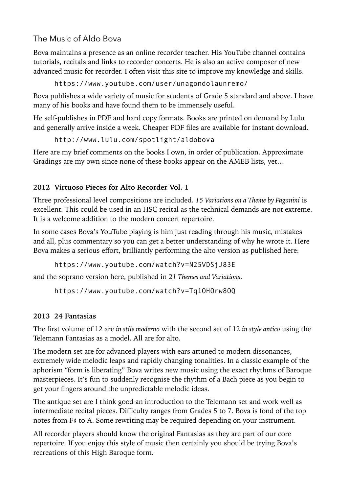The Music of Aldo Bova

Bova maintains a presence as an online recorder teacher. His YouTube channel contains tutorials, recitals and links to recorder concerts. He is also an active composer of new advanced music for recorder. I often visit this site to improve my knowledge and skills.

<https://www.youtube.com/user/unagondolaunremo/>

Bova publishes a wide variety of music for students of Grade 5 standard and above. I have many of his books and have found them to be immensely useful.

He self-publishes in PDF and hard copy formats. Books are printed on demand by Lulu and generally arrive inside a week. Cheaper PDF files are available for instant download.

<http://www.lulu.com/spotlight/aldobova>

Here are my brief comments on the books I own, in order of publication. Approximate Gradings are my own since none of these books appear on the AMEB lists, yet…

## **2012 Virtuoso Pieces for Alto Recorder Vol. 1**

Three professional level compositions are included. *15 Variations on a Theme by Paganini* is excellent. This could be used in an HSC recital as the technical demands are not extreme. It is a welcome addition to the modern concert repertoire.

In some cases Bova's YouTube playing is him just reading through his music, mistakes and all, plus commentary so you can get a better understanding of why he wrote it. Here Bova makes a serious effort, brilliantly performing the alto version as published here:

<https://www.youtube.com/watch?v=N25VDSjJ83E>

and the soprano version here, published in *21 Themes and Variations*.

<https://www.youtube.com/watch?v=Tq1OHOrw8OQ>

## **2013 24 Fantasias**

The first volume of 12 are *in stile moderno* with the second set of 12 *in style antico* using the Telemann Fantasias as a model. All are for alto.

The modern set are for advanced players with ears attuned to modern dissonances, extremely wide melodic leaps and rapidly changing tonalities. In a classic example of the aphorism "form is liberating" Bova writes new music using the exact rhythms of Baroque masterpieces. It's fun to suddenly recognise the rhythm of a Bach piece as you begin to get your fingers around the unpredictable melodic ideas.

The antique set are I think good an introduction to the Telemann set and work well as intermediate recital pieces. Difficulty ranges from Grades 5 to 7. Bova is fond of the top notes from F♯ to A. Some rewriting may be required depending on your instrument.

All recorder players should know the original Fantasias as they are part of our core repertoire. If you enjoy this style of music then certainly you should be trying Bova's recreations of this High Baroque form.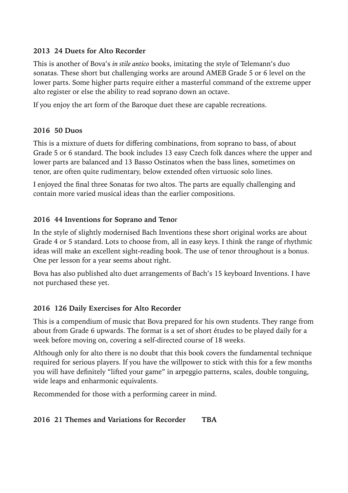#### **2013 24 Duets for Alto Recorder**

This is another of Bova's *in stile antico* books, imitating the style of Telemann's duo sonatas. These short but challenging works are around AMEB Grade 5 or 6 level on the lower parts. Some higher parts require either a masterful command of the extreme upper alto register or else the ability to read soprano down an octave.

If you enjoy the art form of the Baroque duet these are capable recreations.

### **2016 50 Duos**

This is a mixture of duets for differing combinations, from soprano to bass, of about Grade 5 or 6 standard. The book includes 13 easy Czech folk dances where the upper and lower parts are balanced and 13 Basso Ostinatos when the bass lines, sometimes on tenor, are often quite rudimentary, below extended often virtuosic solo lines.

I enjoyed the final three Sonatas for two altos. The parts are equally challenging and contain more varied musical ideas than the earlier compositions.

### **2016 44 Inventions for Soprano and Teno**r

In the style of slightly modernised Bach Inventions these short original works are about Grade 4 or 5 standard. Lots to choose from, all in easy keys. I think the range of rhythmic ideas will make an excellent sight-reading book. The use of tenor throughout is a bonus. One per lesson for a year seems about right.

Bova has also published alto duet arrangements of Bach's 15 keyboard Inventions. I have not purchased these yet.

### **2016 126 Daily Exercises for Alto Recorder**

This is a compendium of music that Bova prepared for his own students. They range from about from Grade 6 upwards. The format is a set of short études to be played daily for a week before moving on, covering a self-directed course of 18 weeks.

Although only for alto there is no doubt that this book covers the fundamental technique required for serious players. If you have the willpower to stick with this for a few months you will have definitely "lifted your game" in arpeggio patterns, scales, double tonguing, wide leaps and enharmonic equivalents.

Recommended for those with a performing career in mind.

### **2016 21 Themes and Variations for Recorder TBA**